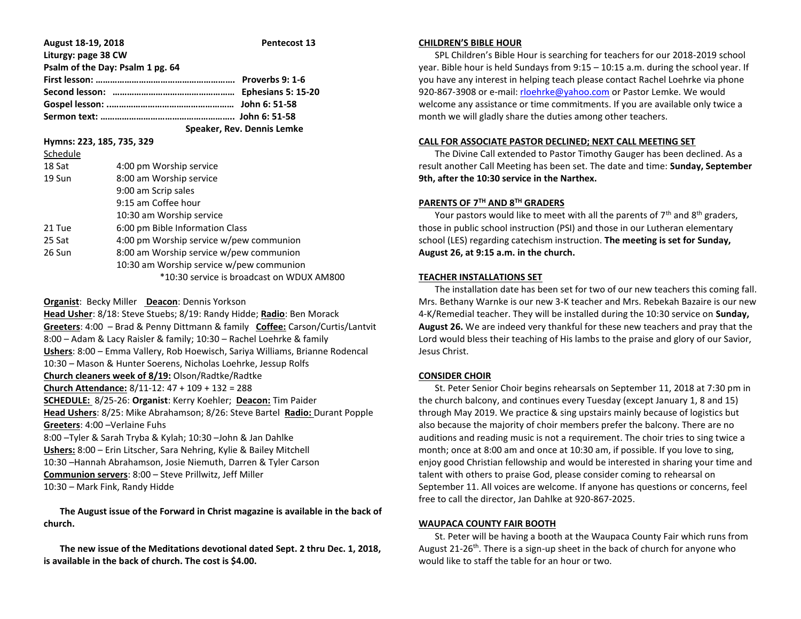| August 18-19, 2018               | Pentecost 13 |
|----------------------------------|--------------|
| Liturgy: page 38 CW              |              |
| Psalm of the Day: Psalm 1 pg. 64 |              |
|                                  |              |
|                                  |              |
|                                  |              |
|                                  |              |
|                                  |              |

 **Speaker, Rev. Dennis Lemke** 

**Hymns: 223, 185, 735, 329**

| Schedule |                                           |
|----------|-------------------------------------------|
| 18 Sat   | 4:00 pm Worship service                   |
| 19 Sun   | 8:00 am Worship service                   |
|          | 9:00 am Scrip sales                       |
|          | 9:15 am Coffee hour                       |
|          | 10:30 am Worship service                  |
| 21 Tue   | 6:00 pm Bible Information Class           |
| 25 Sat   | 4:00 pm Worship service w/pew communion   |
| 26 Sun   | 8:00 am Worship service w/pew communion   |
|          | 10:30 am Worship service w/pew communion  |
|          | *10:30 service is broadcast on WDUX AM800 |
|          |                                           |

## **Organist**: Becky Miller **Deacon**: Dennis Yorkson

**Head Usher**: 8/18: Steve Stuebs; 8/19: Randy Hidde; **Radio**: Ben Morack **Greeters**: 4:00 – Brad & Penny Dittmann & family **Coffee:** Carson/Curtis/Lantvit 8:00 – Adam & Lacy Raisler & family; 10:30 – Rachel Loehrke & family **Ushers**: 8:00 – Emma Vallery, Rob Hoewisch, Sariya Williams, Brianne Rodencal 10:30 – Mason & Hunter Soerens, Nicholas Loehrke, Jessup Rolfs **Church cleaners week of 8/19:** Olson/Radtke/Radtke **Church Attendance:** 8/11-12: 47 + 109 + 132 = 288 **SCHEDULE:** 8/25-26: **Organist**: Kerry Koehler; **Deacon:** Tim Paider **Head Ushers**: 8/25: Mike Abrahamson; 8/26: Steve Bartel **Radio:** Durant Popple **Greeters**: 4:00 –Verlaine Fuhs 8:00 –Tyler & Sarah Tryba & Kylah; 10:30 –John & Jan Dahlke **Ushers:** 8:00 – Erin Litscher, Sara Nehring, Kylie & Bailey Mitchell 10:30 –Hannah Abrahamson, Josie Niemuth, Darren & Tyler Carson **Communion servers**: 8:00 – Steve Prillwitz, Jeff Miller 10:30 – Mark Fink, Randy Hidde

 **The August issue of the Forward in Christ magazine is available in the back of church.**

 **The new issue of the Meditations devotional dated Sept. 2 thru Dec. 1, 2018, is available in the back of church. The cost is \$4.00.**

#### **CHILDREN'S BIBLE HOUR**

 SPL Children's Bible Hour is searching for teachers for our 2018-2019 school year. Bible hour is held Sundays from 9:15 – 10:15 a.m. during the school year. If you have any interest in helping teach please contact Rachel Loehrke via phone 920-867-3908 or e-mail[: rloehrke@yahoo.com](mailto:rloehrke@yahoo.com) or Pastor Lemke. We would welcome any assistance or time commitments. If you are available only twice a month we will gladly share the duties among other teachers.

## **CALL FOR ASSOCIATE PASTOR DECLINED; NEXT CALL MEETING SET**

 The Divine Call extended to Pastor Timothy Gauger has been declined. As a result another Call Meeting has been set. The date and time: **Sunday, September 9th, after the 10:30 service in the Narthex.**

# **PARENTS OF 7TH AND 8TH GRADERS**

Your pastors would like to meet with all the parents of  $7<sup>th</sup>$  and  $8<sup>th</sup>$  graders, those in public school instruction (PSI) and those in our Lutheran elementary school (LES) regarding catechism instruction. **The meeting is set for Sunday, August 26, at 9:15 a.m. in the church.**

#### **TEACHER INSTALLATIONS SET**

 The installation date has been set for two of our new teachers this coming fall. Mrs. Bethany Warnke is our new 3-K teacher and Mrs. Rebekah Bazaire is our new 4-K/Remedial teacher. They will be installed during the 10:30 service on **Sunday, August 26.** We are indeed very thankful for these new teachers and pray that the Lord would bless their teaching of His lambs to the praise and glory of our Savior, Jesus Christ.

#### **CONSIDER CHOIR**

 St. Peter Senior Choir begins rehearsals on September 11, 2018 at 7:30 pm in the church balcony, and continues every Tuesday (except January 1, 8 and 15) through May 2019. We practice & sing upstairs mainly because of logistics but also because the majority of choir members prefer the balcony. There are no auditions and reading music is not a requirement. The choir tries to sing twice a month; once at 8:00 am and once at 10:30 am, if possible. If you love to sing, enjoy good Christian fellowship and would be interested in sharing your time and talent with others to praise God, please consider coming to rehearsal on September 11. All voices are welcome. If anyone has questions or concerns, feel free to call the director, Jan Dahlke at 920-867-2025.

## **WAUPACA COUNTY FAIR BOOTH**

 St. Peter will be having a booth at the Waupaca County Fair which runs from August 21-26<sup>th</sup>. There is a sign-up sheet in the back of church for anyone who would like to staff the table for an hour or two.